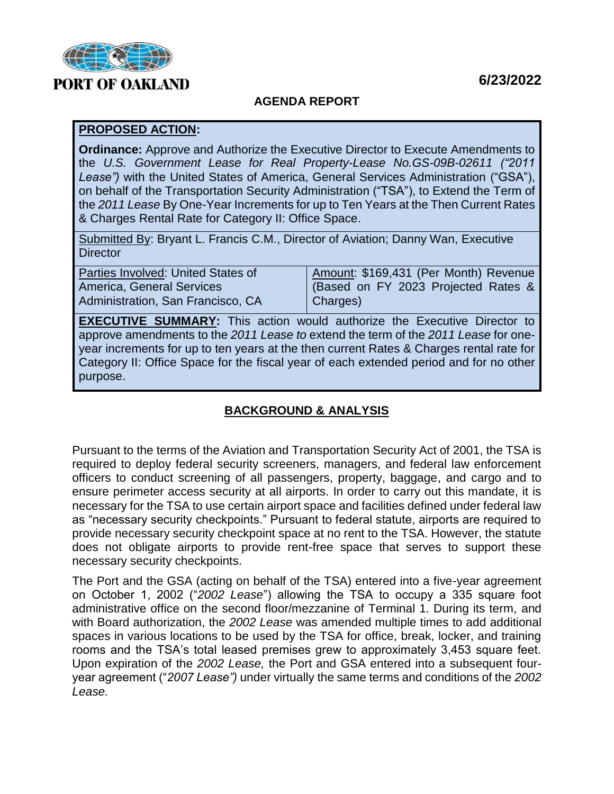

## **6/23/2022**

#### **AGENDA REPORT**

#### **PROPOSED ACTION:**

**Ordinance:** Approve and Authorize the Executive Director to Execute Amendments to the *U.S. Government Lease for Real Property-Lease No.GS-09B-02611 ("2011 Lease")* with the United States of America, General Services Administration ("GSA"), on behalf of the Transportation Security Administration ("TSA"), to Extend the Term of the *2011 Lease* By One-Year Increments for up to Ten Years at the Then Current Rates & Charges Rental Rate for Category II: Office Space.

Submitted By: Bryant L. Francis C.M., Director of Aviation; Danny Wan, Executive **Director** 

| Parties Involved: United States of | Amount: \$169,431 (Per Month) Revenue |
|------------------------------------|---------------------------------------|
| America, General Services          | (Based on FY 2023 Projected Rates &   |
| Administration, San Francisco, CA  | Charges)                              |
|                                    |                                       |

**EXECUTIVE SUMMARY:** This action would authorize the Executive Director to approve amendments to the *2011 Lease to* extend the term of the *2011 Lease* for oneyear increments for up to ten years at the then current Rates & Charges rental rate for Category II: Office Space for the fiscal year of each extended period and for no other purpose.

### **BACKGROUND & ANALYSIS**

Pursuant to the terms of the Aviation and Transportation Security Act of 2001, the TSA is required to deploy federal security screeners, managers, and federal law enforcement officers to conduct screening of all passengers, property, baggage, and cargo and to ensure perimeter access security at all airports. In order to carry out this mandate, it is necessary for the TSA to use certain airport space and facilities defined under federal law as "necessary security checkpoints." Pursuant to federal statute, airports are required to provide necessary security checkpoint space at no rent to the TSA. However, the statute does not obligate airports to provide rent-free space that serves to support these necessary security checkpoints.

The Port and the GSA (acting on behalf of the TSA) entered into a five-year agreement on October 1, 2002 ("*2002 Lease*") allowing the TSA to occupy a 335 square foot administrative office on the second floor/mezzanine of Terminal 1. During its term, and with Board authorization, the *2002 Lease* was amended multiple times to add additional spaces in various locations to be used by the TSA for office, break, locker, and training rooms and the TSA's total leased premises grew to approximately 3,453 square feet. Upon expiration of the *2002 Lease,* the Port and GSA entered into a subsequent fouryear agreement ("*2007 Lease")* under virtually the same terms and conditions of the *2002 Lease.*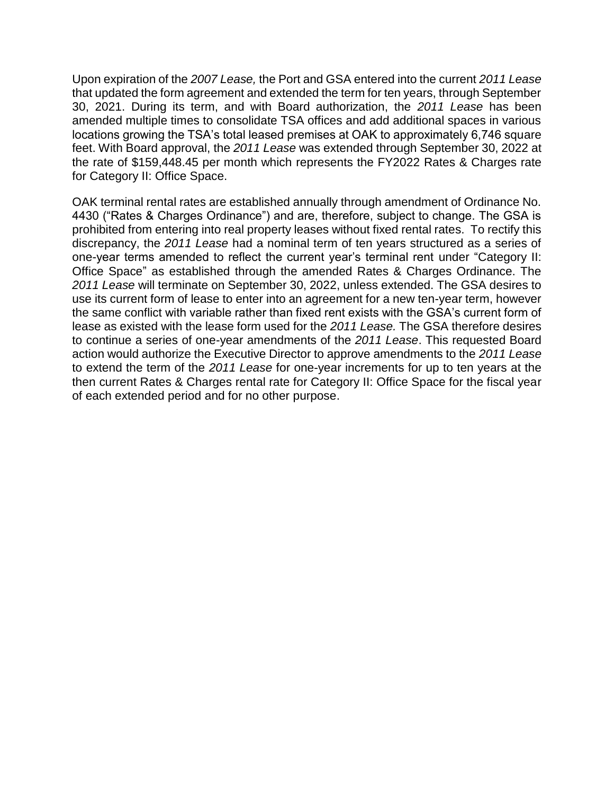Upon expiration of the *2007 Lease,* the Port and GSA entered into the current *2011 Lease*  that updated the form agreement and extended the term for ten years, through September 30, 2021. During its term, and with Board authorization, the *2011 Lease* has been amended multiple times to consolidate TSA offices and add additional spaces in various locations growing the TSA's total leased premises at OAK to approximately 6,746 square feet. With Board approval, the *2011 Lease* was extended through September 30, 2022 at the rate of \$159,448.45 per month which represents the FY2022 Rates & Charges rate for Category II: Office Space.

OAK terminal rental rates are established annually through amendment of Ordinance No. 4430 ("Rates & Charges Ordinance") and are, therefore, subject to change. The GSA is prohibited from entering into real property leases without fixed rental rates. To rectify this discrepancy, the *2011 Lease* had a nominal term of ten years structured as a series of one-year terms amended to reflect the current year's terminal rent under "Category II: Office Space" as established through the amended Rates & Charges Ordinance. The *2011 Lease* will terminate on September 30, 2022, unless extended. The GSA desires to use its current form of lease to enter into an agreement for a new ten-year term, however the same conflict with variable rather than fixed rent exists with the GSA's current form of lease as existed with the lease form used for the *2011 Lease.* The GSA therefore desires to continue a series of one-year amendments of the *2011 Lease*. This requested Board action would authorize the Executive Director to approve amendments to the *2011 Lease*  to extend the term of the *2011 Lease* for one-year increments for up to ten years at the then current Rates & Charges rental rate for Category II: Office Space for the fiscal year of each extended period and for no other purpose.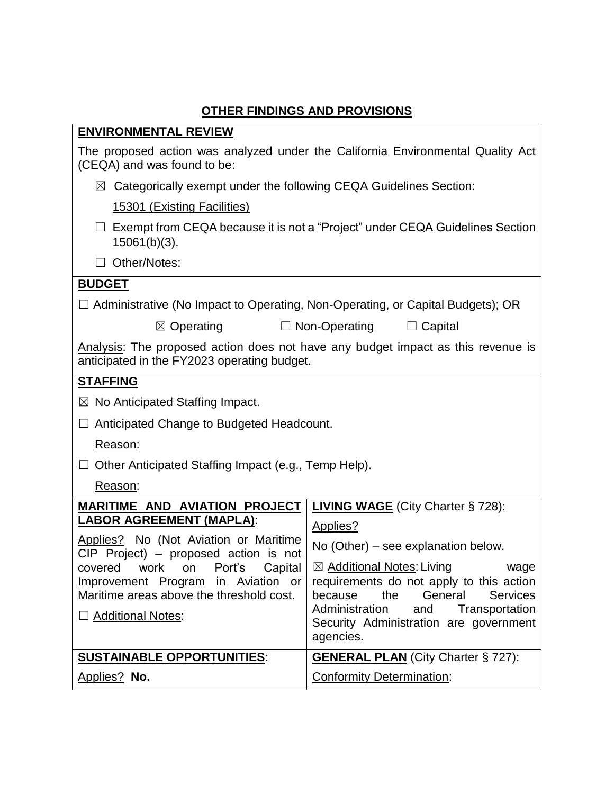# **OTHER FINDINGS AND PROVISIONS**

| <b>ENVIRONMENTAL REVIEW</b>                                                                                                                                                                                                                                                                               |                                                                                                                                                                                                                                                                                                                                 |  |
|-----------------------------------------------------------------------------------------------------------------------------------------------------------------------------------------------------------------------------------------------------------------------------------------------------------|---------------------------------------------------------------------------------------------------------------------------------------------------------------------------------------------------------------------------------------------------------------------------------------------------------------------------------|--|
| The proposed action was analyzed under the California Environmental Quality Act<br>(CEQA) and was found to be:                                                                                                                                                                                            |                                                                                                                                                                                                                                                                                                                                 |  |
| $\boxtimes$ Categorically exempt under the following CEQA Guidelines Section:                                                                                                                                                                                                                             |                                                                                                                                                                                                                                                                                                                                 |  |
| 15301 (Existing Facilities)                                                                                                                                                                                                                                                                               |                                                                                                                                                                                                                                                                                                                                 |  |
| $\Box$ Exempt from CEQA because it is not a "Project" under CEQA Guidelines Section<br>$15061(b)(3)$ .                                                                                                                                                                                                    |                                                                                                                                                                                                                                                                                                                                 |  |
| Other/Notes:                                                                                                                                                                                                                                                                                              |                                                                                                                                                                                                                                                                                                                                 |  |
| <b>BUDGET</b>                                                                                                                                                                                                                                                                                             |                                                                                                                                                                                                                                                                                                                                 |  |
| $\Box$ Administrative (No Impact to Operating, Non-Operating, or Capital Budgets); OR                                                                                                                                                                                                                     |                                                                                                                                                                                                                                                                                                                                 |  |
| $\boxtimes$ Operating                                                                                                                                                                                                                                                                                     | $\Box$ Non-Operating<br>$\Box$ Capital                                                                                                                                                                                                                                                                                          |  |
| Analysis: The proposed action does not have any budget impact as this revenue is<br>anticipated in the FY2023 operating budget.                                                                                                                                                                           |                                                                                                                                                                                                                                                                                                                                 |  |
| <b>STAFFING</b>                                                                                                                                                                                                                                                                                           |                                                                                                                                                                                                                                                                                                                                 |  |
| $\boxtimes$ No Anticipated Staffing Impact.                                                                                                                                                                                                                                                               |                                                                                                                                                                                                                                                                                                                                 |  |
| Anticipated Change to Budgeted Headcount.<br>ш                                                                                                                                                                                                                                                            |                                                                                                                                                                                                                                                                                                                                 |  |
| Reason:                                                                                                                                                                                                                                                                                                   |                                                                                                                                                                                                                                                                                                                                 |  |
| Other Anticipated Staffing Impact (e.g., Temp Help).                                                                                                                                                                                                                                                      |                                                                                                                                                                                                                                                                                                                                 |  |
| Reason:                                                                                                                                                                                                                                                                                                   |                                                                                                                                                                                                                                                                                                                                 |  |
| <b>MARITIME AND AVIATION PROJECT</b><br><b>LABOR AGREEMENT (MAPLA):</b><br>Applies? No (Not Aviation or Maritime<br>$CIP$ Project) – proposed action is not<br>Capital<br>covered work on Port's<br>Improvement Program in Aviation or<br>Maritime areas above the threshold cost.<br>□ Additional Notes: | <b>LIVING WAGE</b> (City Charter § 728):<br>Applies?<br>No (Other) – see explanation below.<br>⊠ Additional Notes: Living<br>wage<br>requirements do not apply to this action<br>the<br>General<br><b>Services</b><br>because<br>Administration<br>and<br>Transportation<br>Security Administration are government<br>agencies. |  |
| <b>SUSTAINABLE OPPORTUNITIES:</b>                                                                                                                                                                                                                                                                         | <b>GENERAL PLAN</b> (City Charter § 727):                                                                                                                                                                                                                                                                                       |  |
| Applies? No.                                                                                                                                                                                                                                                                                              | <b>Conformity Determination:</b>                                                                                                                                                                                                                                                                                                |  |